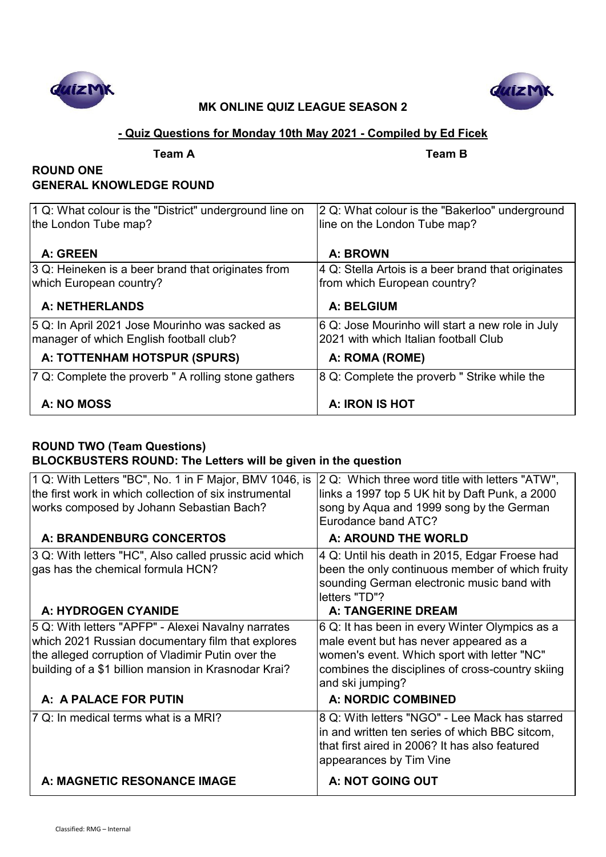



### **- Quiz Questions for Monday 10th May 2021 - Compiled by Ed Ficek**

**Team A Team B**

# **ROUND ONE GENERAL KNOWLEDGE ROUND**

| 1 Q: What colour is the "District" underground line on<br>the London Tube map?            | 2 Q: What colour is the "Bakerloo" underground<br>line on the London Tube map?            |
|-------------------------------------------------------------------------------------------|-------------------------------------------------------------------------------------------|
| A: GREEN                                                                                  | A: BROWN                                                                                  |
| 3 Q: Heineken is a beer brand that originates from<br>which European country?             | 4 Q: Stella Artois is a beer brand that originates<br>from which European country?        |
| <b>A: NETHERLANDS</b>                                                                     | A: BELGIUM                                                                                |
| 5 Q: In April 2021 Jose Mourinho was sacked as<br>manager of which English football club? | 6 Q: Jose Mourinho will start a new role in July<br>2021 with which Italian football Club |
| A: TOTTENHAM HOTSPUR (SPURS)                                                              | A: ROMA (ROME)                                                                            |
| 7 Q: Complete the proverb " A rolling stone gathers                                       | 8 Q: Complete the proverb " Strike while the                                              |
| A: NO MOSS                                                                                | A: IRON IS HOT                                                                            |

# **ROUND TWO (Team Questions) BLOCKBUSTERS ROUND: The Letters will be given in the question**

| 1 Q: With Letters "BC", No. 1 in F Major, BMV 1046, is<br>the first work in which collection of six instrumental<br>works composed by Johann Sebastian Bach?                                                         | 2 Q: Which three word title with letters "ATW",<br>links a 1997 top 5 UK hit by Daft Punk, a 2000<br>song by Aqua and 1999 song by the German<br>Eurodance band ATC?                                            |
|----------------------------------------------------------------------------------------------------------------------------------------------------------------------------------------------------------------------|-----------------------------------------------------------------------------------------------------------------------------------------------------------------------------------------------------------------|
| A: BRANDENBURG CONCERTOS                                                                                                                                                                                             | A: AROUND THE WORLD                                                                                                                                                                                             |
| 3 Q: With letters "HC", Also called prussic acid which<br>gas has the chemical formula HCN?                                                                                                                          | 4 Q: Until his death in 2015, Edgar Froese had<br>been the only continuous member of which fruity<br>sounding German electronic music band with<br>letters "TD"?                                                |
| A: HYDROGEN CYANIDE                                                                                                                                                                                                  | <b>A: TANGERINE DREAM</b>                                                                                                                                                                                       |
| 5 Q: With letters "APFP" - Alexei Navalny narrates<br>which 2021 Russian documentary film that explores<br>the alleged corruption of Vladimir Putin over the<br>building of a \$1 billion mansion in Krasnodar Krai? | 6 Q: It has been in every Winter Olympics as a<br>male event but has never appeared as a<br>women's event. Which sport with letter "NC"<br>combines the disciplines of cross-country skiing<br>and ski jumping? |
| A: A PALACE FOR PUTIN                                                                                                                                                                                                | <b>A: NORDIC COMBINED</b>                                                                                                                                                                                       |
| 7 Q: In medical terms what is a MRI?                                                                                                                                                                                 | 8 Q: With letters "NGO" - Lee Mack has starred<br>in and written ten series of which BBC sitcom,<br>that first aired in 2006? It has also featured<br>appearances by Tim Vine                                   |
| A: MAGNETIC RESONANCE IMAGE                                                                                                                                                                                          | A: NOT GOING OUT                                                                                                                                                                                                |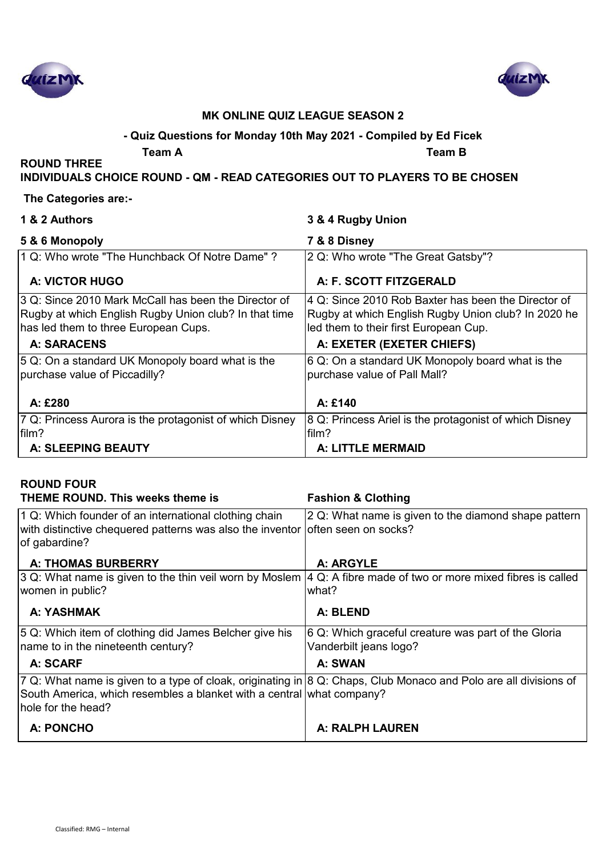



# **- Quiz Questions for Monday 10th May 2021 - Compiled by Ed Ficek**

**Team A Team B**

#### **INDIVIDUALS CHOICE ROUND - QM - READ CATEGORIES OUT TO PLAYERS TO BE CHOSEN**

#### **The Categories are:-**

**ROUND THREE** 

| 1 & 2 Authors                                                                                                                                         | 3 & 4 Rugby Union                                                                                                                                   |
|-------------------------------------------------------------------------------------------------------------------------------------------------------|-----------------------------------------------------------------------------------------------------------------------------------------------------|
| 5 & 6 Monopoly                                                                                                                                        | 7 & 8 Disney                                                                                                                                        |
| 1 Q: Who wrote "The Hunchback Of Notre Dame"?                                                                                                         | 2 Q: Who wrote "The Great Gatsby"?                                                                                                                  |
| <b>A: VICTOR HUGO</b>                                                                                                                                 | A: F. SCOTT FITZGERALD                                                                                                                              |
| 3 Q: Since 2010 Mark McCall has been the Director of<br>Rugby at which English Rugby Union club? In that time<br>has led them to three European Cups. | 4 Q: Since 2010 Rob Baxter has been the Director of<br>Rugby at which English Rugby Union club? In 2020 he<br>led them to their first European Cup. |
| <b>A: SARACENS</b>                                                                                                                                    | A: EXETER (EXETER CHIEFS)                                                                                                                           |
| 5 Q: On a standard UK Monopoly board what is the<br>purchase value of Piccadilly?                                                                     | 6 Q: On a standard UK Monopoly board what is the<br>purchase value of Pall Mall?                                                                    |
| A: £280                                                                                                                                               | A: £140                                                                                                                                             |
| 7 Q: Princess Aurora is the protagonist of which Disney<br>film?                                                                                      | 8 Q: Princess Ariel is the protagonist of which Disney<br>film?                                                                                     |
| A: SLEEPING BEAUTY                                                                                                                                    | A: LITTLE MERMAID                                                                                                                                   |

# **ROUND FOUR**

| THEME ROUND. This weeks theme is                                                                                 | <b>Fashion &amp; Clothing</b>                           |
|------------------------------------------------------------------------------------------------------------------|---------------------------------------------------------|
| 1 Q: Which founder of an international clothing chain                                                            | 2 Q: What name is given to the diamond shape pattern    |
| with distinctive chequered patterns was also the inventor offten seen on socks?                                  |                                                         |
| of gabardine?                                                                                                    |                                                         |
| <b>A: THOMAS BURBERRY</b>                                                                                        | A: ARGYLE                                               |
| 3 Q: What name is given to the thin veil worn by Moslem                                                          | 4 Q: A fibre made of two or more mixed fibres is called |
| women in public?                                                                                                 | what?                                                   |
| A: YASHMAK                                                                                                       | A: BLEND                                                |
| 5 Q: Which item of clothing did James Belcher give his                                                           | 6 Q: Which graceful creature was part of the Gloria     |
| name to in the nineteenth century?                                                                               | Vanderbilt jeans logo?                                  |
| A: SCARF                                                                                                         | A: SWAN                                                 |
| 7 Q: What name is given to a type of cloak, originating in 8 Q: Chaps, Club Monaco and Polo are all divisions of |                                                         |
| South America, which resembles a blanket with a central what company?                                            |                                                         |
| hole for the head?                                                                                               |                                                         |
| A: PONCHO                                                                                                        | <b>A: RALPH LAUREN</b>                                  |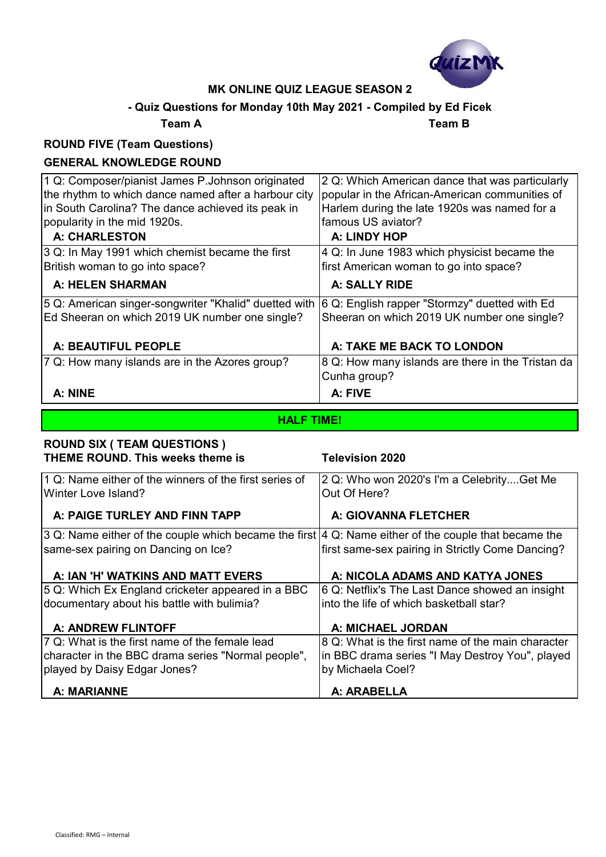

# **- Quiz Questions for Monday 10th May 2021 - Compiled by Ed Ficek**

**Team A Team B**

# **ROUND FIVE (Team Questions)**

### **GENERAL KNOWLEDGE ROUND**

| 1 Q: Composer/pianist James P.Johnson originated<br>the rhythm to which dance named after a harbour city<br>in South Carolina? The dance achieved its peak in<br>popularity in the mid 1920s.<br><b>A: CHARLESTON</b> | 2 Q: Which American dance that was particularly<br>popular in the African-American communities of<br>Harlem during the late 1920s was named for a<br>famous US aviator?<br>A: LINDY HOP |
|-----------------------------------------------------------------------------------------------------------------------------------------------------------------------------------------------------------------------|-----------------------------------------------------------------------------------------------------------------------------------------------------------------------------------------|
| 3 Q: In May 1991 which chemist became the first<br>British woman to go into space?                                                                                                                                    | 4 Q: In June 1983 which physicist became the<br>first American woman to go into space?                                                                                                  |
| <b>A: HELEN SHARMAN</b>                                                                                                                                                                                               | A: SALLY RIDE                                                                                                                                                                           |
| 5 Q: American singer-songwriter "Khalid" duetted with<br>Ed Sheeran on which 2019 UK number one single?                                                                                                               | 6 Q: English rapper "Stormzy" duetted with Ed<br>Sheeran on which 2019 UK number one single?                                                                                            |
| A: BEAUTIFUL PEOPLE                                                                                                                                                                                                   | A: TAKE ME BACK TO LONDON                                                                                                                                                               |
| 7 Q: How many islands are in the Azores group?                                                                                                                                                                        | 8 Q: How many islands are there in the Tristan da<br>Cunha group?                                                                                                                       |
| A: NINE                                                                                                                                                                                                               | A: FIVE                                                                                                                                                                                 |

# **HALF TIME!**

| <b>ROUND SIX ( TEAM QUESTIONS )</b><br>THEME ROUND. This weeks theme is                                       | <b>Television 2020</b>                                    |
|---------------------------------------------------------------------------------------------------------------|-----------------------------------------------------------|
| 1 Q: Name either of the winners of the first series of<br>Winter Love Island?                                 | 2 Q: Who won 2020's I'm a CelebrityGet Me<br>Out Of Here? |
| A: PAIGE TURLEY AND FINN TAPP                                                                                 | A: GIOVANNA FLETCHER                                      |
| 3 Q: Name either of the couple which became the first $ 4 \Omega$ : Name either of the couple that became the |                                                           |
| same-sex pairing on Dancing on Ice?                                                                           | first same-sex pairing in Strictly Come Dancing?          |
| A: IAN 'H' WATKINS AND MATT EVERS                                                                             | A: NICOLA ADAMS AND KATYA JONES                           |
| 5 Q: Which Ex England cricketer appeared in a BBC                                                             | 6 Q: Netflix's The Last Dance showed an insight           |
| documentary about his battle with bulimia?                                                                    | into the life of which basketball star?                   |
| A: ANDREW FLINTOFF                                                                                            | A: MICHAEL JORDAN                                         |
| 7 Q: What is the first name of the female lead                                                                | 8 Q: What is the first name of the main character         |
| character in the BBC drama series "Normal people",                                                            | in BBC drama series "I May Destroy You", played           |
| played by Daisy Edgar Jones?                                                                                  | by Michaela Coel?                                         |
| <b>A: MARIANNE</b>                                                                                            | A: ARABELLA                                               |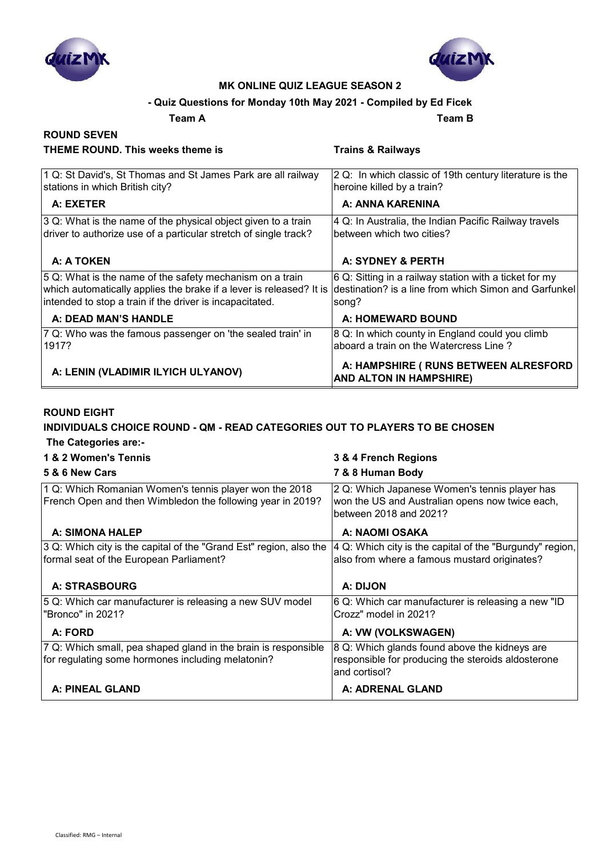



#### **- Quiz Questions for Monday 10th May 2021 - Compiled by Ed Ficek**

 **A: A:** 

**Team A Team B**

#### **ROUND SEVEN THEME ROUND. This weeks theme is Trains & Railways** 1 Q: St David's, St Thomas and St James Park are all railway stations in which British city? 2 Q: In which classic of 19th century literature is the heroine killed by a train? **A: EXETER A: ANNA KARENINA** 3 Q: What is the name of the physical object given to a train driver to authorize use of a particular stretch of single track? 4 Q: In Australia, the Indian Pacific Railway travels between which two cities?  **A: A TOKEN A: SYDNEY & PERTH** 5 Q: What is the name of the safety mechanism on a train which automatically applies the brake if a lever is released? It is intended to stop a train if the driver is incapacitated. 6 Q: Sitting in a railway station with a ticket for my destination? is a line from which Simon and Garfunkel song?

#### **A: DEAD MAN'S HANDLE A: HOMEWARD BOUND** 7 Q: Who was the famous passenger on 'the sealed train' in 1917? 8 Q: In which county in England could you climb aboard a train on the Watercress Line ?  **A: LENIN (VLADIMIR ILYICH ULYANOV) A: HAMPSHIRE ( RUNS BETWEEN ALRESFORD**

**AND ALTON IN HAMPSHIRE)**

#### **ROUND EIGHT**

# **INDIVIDUALS CHOICE ROUND - QM - READ CATEGORIES OUT TO PLAYERS TO BE CHOSEN**

 **The Categories are:-**

| 1 & 2 Women's Tennis                                                                                                 | 3 & 4 French Regions                                                                                                       |
|----------------------------------------------------------------------------------------------------------------------|----------------------------------------------------------------------------------------------------------------------------|
| 5 & 6 New Cars                                                                                                       | 7 & 8 Human Body                                                                                                           |
| 1 Q: Which Romanian Women's tennis player won the 2018<br>French Open and then Wimbledon the following year in 2019? | 2 Q: Which Japanese Women's tennis player has<br>won the US and Australian opens now twice each,<br>between 2018 and 2021? |
| A: SIMONA HALEP                                                                                                      | A: NAOMI OSAKA                                                                                                             |
| 3 Q: Which city is the capital of the "Grand Est" region, also the<br>formal seat of the European Parliament?        | 4 Q: Which city is the capital of the "Burgundy" region,<br>also from where a famous mustard originates?                   |
| <b>A: STRASBOURG</b>                                                                                                 | A: DIJON                                                                                                                   |
| 5 Q: Which car manufacturer is releasing a new SUV model<br>"Bronco" in 2021?                                        | 6 Q: Which car manufacturer is releasing a new "ID<br>Crozz" model in 2021?                                                |
| A: FORD                                                                                                              | A: VW (VOLKSWAGEN)                                                                                                         |
| 7 Q: Which small, pea shaped gland in the brain is responsible<br>for regulating some hormones including melatonin?  | 8 Q: Which glands found above the kidneys are<br>responsible for producing the steroids aldosterone<br>and cortisol?       |
| A: PINEAL GLAND                                                                                                      | A: ADRENAL GLAND                                                                                                           |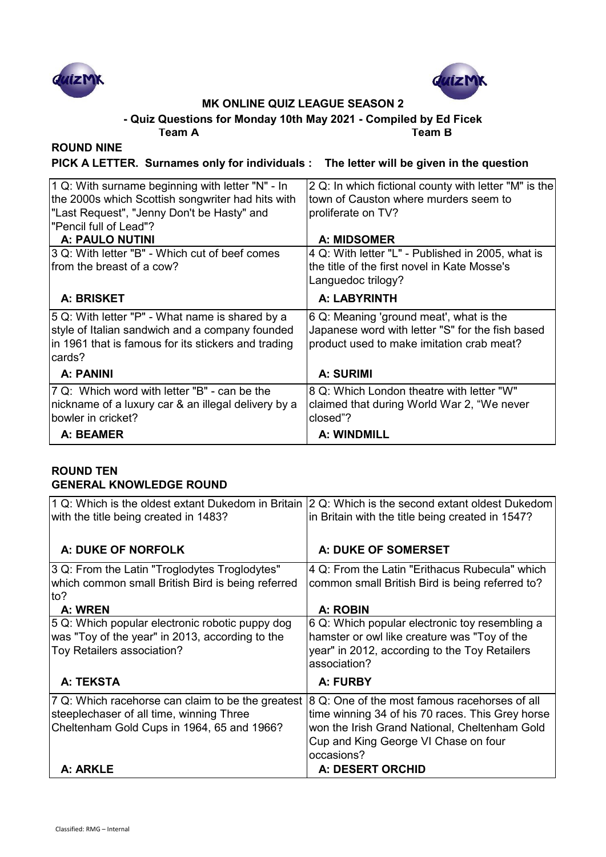



**- Quiz Questions for Monday 10th May 2021 - Compiled by Ed Ficek**

**Team A Team B**

# **ROUND NINE**

**PICK A LETTER. Surnames only for individuals : The letter will be given in the question**

| 1 Q: With surname beginning with letter "N" - In                                                                                                                     | 2 Q: In which fictional county with letter "M" is the                                                                                    |
|----------------------------------------------------------------------------------------------------------------------------------------------------------------------|------------------------------------------------------------------------------------------------------------------------------------------|
| the 2000s which Scottish songwriter had hits with                                                                                                                    | Itown of Causton where murders seem to                                                                                                   |
| "Last Request", "Jenny Don't be Hasty" and                                                                                                                           | proliferate on TV?                                                                                                                       |
| Pencil full of Lead"?                                                                                                                                                |                                                                                                                                          |
| A: PAULO NUTINI                                                                                                                                                      | <b>A: MIDSOMER</b>                                                                                                                       |
| 3 Q: With letter "B" - Which cut of beef comes                                                                                                                       | 4 Q: With letter "L" - Published in 2005, what is                                                                                        |
| from the breast of a cow?                                                                                                                                            | the title of the first novel in Kate Mosse's                                                                                             |
|                                                                                                                                                                      | Languedoc trilogy?                                                                                                                       |
| A: BRISKET                                                                                                                                                           | A: LABYRINTH                                                                                                                             |
| 5 Q: With letter "P" - What name is shared by a<br>style of Italian sandwich and a company founded<br>in 1961 that is famous for its stickers and trading<br>lcards? | 6 Q: Meaning 'ground meat', what is the<br>Japanese word with letter "S" for the fish based<br>product used to make imitation crab meat? |
| A: PANINI                                                                                                                                                            | A: SURIMI                                                                                                                                |
| 7 Q: Which word with letter "B" - can be the                                                                                                                         | 8 Q: Which London theatre with letter "W"                                                                                                |
| nickname of a luxury car & an illegal delivery by a                                                                                                                  | claimed that during World War 2, "We never                                                                                               |
| bowler in cricket?                                                                                                                                                   | closed"?                                                                                                                                 |
| A: BEAMER                                                                                                                                                            | A: WINDMILL                                                                                                                              |

#### **ROUND TEN GENERAL KNOWLEDGE ROUND**

| $ 1\ \mathrm{Q}$ : Which is the oldest extant Dukedom in Britain $ 2\ \mathrm{Q}$ : Which is the second extant oldest Dukedom $ $<br>with the title being created in 1483? | in Britain with the title being created in 1547?                                                                                                                                                         |
|----------------------------------------------------------------------------------------------------------------------------------------------------------------------------|----------------------------------------------------------------------------------------------------------------------------------------------------------------------------------------------------------|
| A: DUKE OF NORFOLK                                                                                                                                                         | A: DUKE OF SOMERSET                                                                                                                                                                                      |
| 3 Q: From the Latin "Troglodytes Troglodytes"<br>which common small British Bird is being referred<br>lto?<br>A: WREN                                                      | 4 Q: From the Latin "Erithacus Rubecula" which<br>common small British Bird is being referred to?<br>A: ROBIN                                                                                            |
| 5 Q: Which popular electronic robotic puppy dog<br>was "Toy of the year" in 2013, according to the<br>Toy Retailers association?                                           | 6 Q: Which popular electronic toy resembling a<br>hamster or owl like creature was "Toy of the<br>year" in 2012, according to the Toy Retailers<br>association?                                          |
| A: TEKSTA                                                                                                                                                                  | A: FURBY                                                                                                                                                                                                 |
| 7 Q: Which racehorse can claim to be the greatest<br>steeplechaser of all time, winning Three<br>Cheltenham Gold Cups in 1964, 65 and 1966?                                | 8 Q: One of the most famous racehorses of all<br>time winning 34 of his 70 races. This Grey horse<br>won the Irish Grand National, Cheltenham Gold<br>Cup and King George VI Chase on four<br>occasions? |
| A: ARKLE                                                                                                                                                                   | <b>A: DESERT ORCHID</b>                                                                                                                                                                                  |